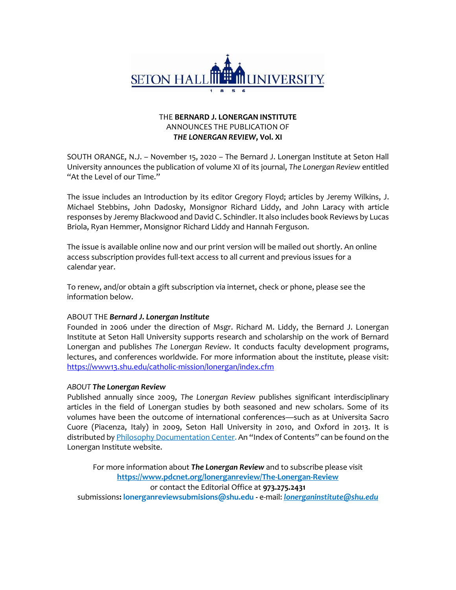

## THE **BERNARD J. LONERGAN INSTITUTE**  ANNOUNCES THE PUBLICATION OF *THE LONERGAN REVIEW***, Vol. XI**

SOUTH ORANGE, N.J. – November 15, 2020 – The Bernard J. Lonergan Institute at Seton Hall University announces the publication of volume XI of its journal, *The Lonergan Review* entitled "At the Level of our Time."

The issue includes an Introduction by its editor Gregory Floyd; articles by Jeremy Wilkins, J. Michael Stebbins, John Dadosky, Monsignor Richard Liddy, and John Laracy with article responses by Jeremy Blackwood and David C. Schindler. It also includes book Reviews by Lucas Briola, Ryan Hemmer, Monsignor Richard Liddy and Hannah Ferguson.

The issue is available online now and our print version will be mailed out shortly. An online access subscription provides full-text access to all current and previous issues for a calendar year.

To renew, and/or obtain a gift subscription via internet, check or phone, please see the information below.

## ABOUT THE *Bernard J. Lonergan Institute*

Founded in 2006 under the direction of Msgr. Richard M. Liddy, the Bernard J. Lonergan Institute at Seton Hall University supports research and scholarship on the work of Bernard Lonergan and publishes *The Lonergan Review*. It conducts faculty development programs, lectures, and conferences worldwide. For more information about the institute, please visit: <https://www13.shu.edu/catholic-mission/lonergan/index.cfm>

## *ABOUT The Lonergan Review*

Published annually since 2009, *The Lonergan Review* publishes significant interdisciplinary articles in the field of Lonergan studies by both seasoned and new scholars. Some of its volumes have been the outcome of international conferences—such as at Universita Sacro Cuore (Piacenza, Italy) in 2009, Seton Hall University in 2010, and Oxford in 2013. It is distributed b[y Philosophy Documentation Center.](https://en.wikipedia.org/wiki/Philosophy_Documentation_Center) An "Index of Contents" can be found on the Lonergan Institute website.

For more information about *The Lonergan Review* and to subscribe please visit **<https://www.pdcnet.org/lonerganreview/The-Lonergan-Review>** or contact the Editorial Office at **973.275.2431** submissions**[: lonerganreviewsubmisions@shu.edu -](mailto:lonerganreviewsubmisions@shu.edu)** e-mail: *[lonerganinstitute@shu.edu](mailto:lonerganinstitute@shu.edu)*